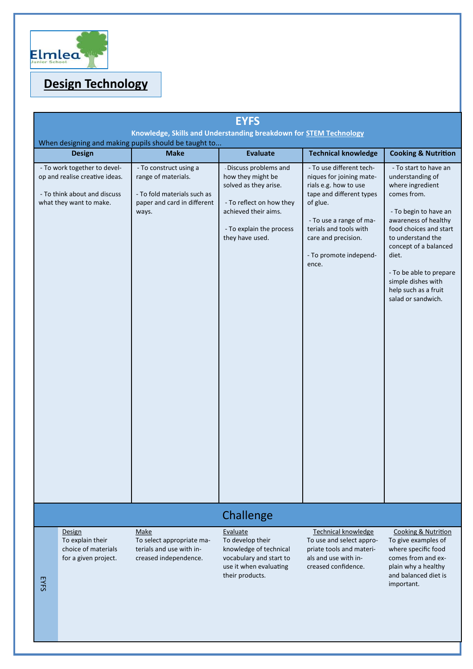

# **Design Technology**

| <b>EYFS</b><br>Knowledge, Skills and Understanding breakdown for <b>STEM Technology</b><br>When designing and making pupils should be taught to |                                                                                                                           |                                                                                                                      |                                                                                                                                                                         |                                                                                                                                                                                                                                      |                                                                                                                                                                                                                                                                                                               |
|-------------------------------------------------------------------------------------------------------------------------------------------------|---------------------------------------------------------------------------------------------------------------------------|----------------------------------------------------------------------------------------------------------------------|-------------------------------------------------------------------------------------------------------------------------------------------------------------------------|--------------------------------------------------------------------------------------------------------------------------------------------------------------------------------------------------------------------------------------|---------------------------------------------------------------------------------------------------------------------------------------------------------------------------------------------------------------------------------------------------------------------------------------------------------------|
|                                                                                                                                                 | <b>Design</b>                                                                                                             | <b>Make</b>                                                                                                          | <b>Evaluate</b>                                                                                                                                                         | <b>Technical knowledge</b>                                                                                                                                                                                                           | <b>Cooking &amp; Nutrition</b>                                                                                                                                                                                                                                                                                |
|                                                                                                                                                 | - To work together to devel-<br>op and realise creative ideas.<br>- To think about and discuss<br>what they want to make. | - To construct using a<br>range of materials.<br>- To fold materials such as<br>paper and card in different<br>ways. | - Discuss problems and<br>how they might be<br>solved as they arise.<br>- To reflect on how they<br>achieved their aims.<br>- To explain the process<br>they have used. | - To use different tech-<br>niques for joining mate-<br>rials e.g. how to use<br>tape and different types<br>of glue.<br>- To use a range of ma-<br>terials and tools with<br>care and precision.<br>- To promote independ-<br>ence. | - To start to have an<br>understanding of<br>where ingredient<br>comes from.<br>- To begin to have an<br>awareness of healthy<br>food choices and start<br>to understand the<br>concept of a balanced<br>diet.<br>- To be able to prepare<br>simple dishes with<br>help such as a fruit<br>salad or sandwich. |
|                                                                                                                                                 |                                                                                                                           |                                                                                                                      | Challenge                                                                                                                                                               |                                                                                                                                                                                                                                      |                                                                                                                                                                                                                                                                                                               |
| <b>EYFS</b>                                                                                                                                     | Design<br>To explain their<br>choice of materials<br>for a given project.                                                 | Make<br>To select appropriate ma-<br>terials and use with in-<br>creased independence.                               | Evaluate<br>To develop their<br>knowledge of technical<br>vocabulary and start to<br>use it when evaluating<br>their products.                                          | Technical knowledge<br>To use and select appro-<br>priate tools and materi-<br>als and use with in-<br>creased confidence.                                                                                                           | <b>Cooking &amp; Nutrition</b><br>To give examples of<br>where specific food<br>comes from and ex-<br>plain why a healthy<br>and balanced diet is<br>important.                                                                                                                                               |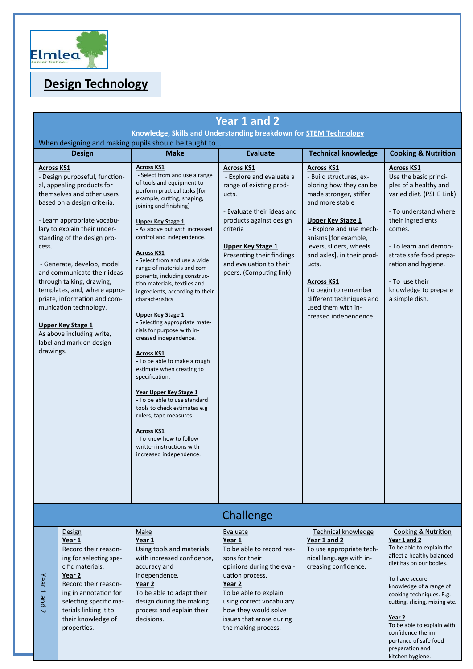

# **Design Technology**

| Year 1 and 2                                                                                                                                                                                                                                                                                                                                                                                                                                                                                                                                |                                                                                                                                                                                                                                           |                                                                                                                                                                                                                                                                                                                                                                                                                                                                                                                                                                                                                                                                                                                                                                                                                                                                                                                                 |                                                                                                                                                                                                                                                                       |                                                                                                                                                                                                                                                                                                                                                                                               |                                                                                                                                                                                                                                                                                                  |
|---------------------------------------------------------------------------------------------------------------------------------------------------------------------------------------------------------------------------------------------------------------------------------------------------------------------------------------------------------------------------------------------------------------------------------------------------------------------------------------------------------------------------------------------|-------------------------------------------------------------------------------------------------------------------------------------------------------------------------------------------------------------------------------------------|---------------------------------------------------------------------------------------------------------------------------------------------------------------------------------------------------------------------------------------------------------------------------------------------------------------------------------------------------------------------------------------------------------------------------------------------------------------------------------------------------------------------------------------------------------------------------------------------------------------------------------------------------------------------------------------------------------------------------------------------------------------------------------------------------------------------------------------------------------------------------------------------------------------------------------|-----------------------------------------------------------------------------------------------------------------------------------------------------------------------------------------------------------------------------------------------------------------------|-----------------------------------------------------------------------------------------------------------------------------------------------------------------------------------------------------------------------------------------------------------------------------------------------------------------------------------------------------------------------------------------------|--------------------------------------------------------------------------------------------------------------------------------------------------------------------------------------------------------------------------------------------------------------------------------------------------|
| Knowledge, Skills and Understanding breakdown for STEM Technology<br>When designing and making pupils should be taught to                                                                                                                                                                                                                                                                                                                                                                                                                   |                                                                                                                                                                                                                                           |                                                                                                                                                                                                                                                                                                                                                                                                                                                                                                                                                                                                                                                                                                                                                                                                                                                                                                                                 |                                                                                                                                                                                                                                                                       |                                                                                                                                                                                                                                                                                                                                                                                               |                                                                                                                                                                                                                                                                                                  |
|                                                                                                                                                                                                                                                                                                                                                                                                                                                                                                                                             | <b>Design</b>                                                                                                                                                                                                                             | <b>Make</b>                                                                                                                                                                                                                                                                                                                                                                                                                                                                                                                                                                                                                                                                                                                                                                                                                                                                                                                     | <b>Evaluate</b>                                                                                                                                                                                                                                                       | <b>Technical knowledge</b>                                                                                                                                                                                                                                                                                                                                                                    | <b>Cooking &amp; Nutrition</b>                                                                                                                                                                                                                                                                   |
| <b>Across KS1</b><br>- Design purposeful, function-<br>al, appealing products for<br>themselves and other users<br>based on a design criteria.<br>- Learn appropriate vocabu-<br>lary to explain their under-<br>standing of the design pro-<br>cess.<br>- Generate, develop, model<br>and communicate their ideas<br>through talking, drawing,<br>templates, and, where appro-<br>priate, information and com-<br>munication technology.<br><b>Upper Key Stage 1</b><br>As above including write,<br>label and mark on design<br>drawings. |                                                                                                                                                                                                                                           | <b>Across KS1</b><br>- Select from and use a range<br>of tools and equipment to<br>perform practical tasks [for<br>example, cutting, shaping,<br>joining and finishing]<br><b>Upper Key Stage 1</b><br>- As above but with increased<br>control and independence.<br><b>Across KS1</b><br>- Select from and use a wide<br>range of materials and com-<br>ponents, including construc-<br>tion materials, textiles and<br>ingredients, according to their<br>characteristics<br><b>Upper Key Stage 1</b><br>- Selecting appropriate mate-<br>rials for purpose with in-<br>creased independence.<br><b>Across KS1</b><br>- To be able to make a rough<br>estimate when creating to<br>specification.<br>Year Upper Key Stage 1<br>- To be able to use standard<br>tools to check estimates e.g<br>rulers, tape measures.<br><b>Across KS1</b><br>- To know how to follow<br>written instructions with<br>increased independence. | <b>Across KS1</b><br>- Explore and evaluate a<br>range of existing prod-<br>ucts.<br>- Evaluate their ideas and<br>products against design<br>criteria<br><b>Upper Key Stage 1</b><br>Presenting their findings<br>and evaluation to their<br>peers. (Computing link) | <b>Across KS1</b><br>- Build structures, ex-<br>ploring how they can be<br>made stronger, stiffer<br>and more stable<br><b>Upper Key Stage 1</b><br>- Explore and use mech-<br>anisms [for example,<br>levers, sliders, wheels<br>and axles], in their prod-<br>ucts.<br><b>Across KS1</b><br>To begin to remember<br>different techniques and<br>used them with in-<br>creased independence. | <b>Across KS1</b><br>Use the basic princi-<br>ples of a healthy and<br>varied diet. (PSHE Link)<br>- To understand where<br>their ingredients<br>comes.<br>- To learn and demon-<br>strate safe food prepa-<br>ration and hygiene.<br>- To use their<br>knowledge to prepare<br>a simple dish.   |
|                                                                                                                                                                                                                                                                                                                                                                                                                                                                                                                                             |                                                                                                                                                                                                                                           |                                                                                                                                                                                                                                                                                                                                                                                                                                                                                                                                                                                                                                                                                                                                                                                                                                                                                                                                 | Challenge                                                                                                                                                                                                                                                             |                                                                                                                                                                                                                                                                                                                                                                                               |                                                                                                                                                                                                                                                                                                  |
| Year<br>pue <sub>L</sub><br>$\overline{C}$                                                                                                                                                                                                                                                                                                                                                                                                                                                                                                  | Design<br>Year 1<br>Record their reason-<br>ing for selecting spe-<br>cific materials.<br>Year 2<br>Record their reason-<br>ing in annotation for<br>selecting specific ma-<br>terials linking it to<br>their knowledge of<br>properties. | Make<br>Year 1<br>Using tools and materials<br>with increased confidence,<br>accuracy and<br>independence.<br>Year 2<br>To be able to adapt their<br>design during the making<br>process and explain their<br>decisions.                                                                                                                                                                                                                                                                                                                                                                                                                                                                                                                                                                                                                                                                                                        | Evaluate<br>Year 1<br>To be able to record rea-<br>sons for their<br>opinions during the eval-<br>uation process.<br>Year 2<br>To be able to explain<br>using correct vocabulary<br>how they would solve<br>issues that arose during<br>the making process.           | <b>Technical knowledge</b><br>Year 1 and 2<br>To use appropriate tech-<br>nical language with in-<br>creasing confidence.                                                                                                                                                                                                                                                                     | Cooking & Nutrition<br>Year 1 and 2<br>To be able to explain the<br>affect a healthy balanced<br>diet has on our bodies.<br>To have secure<br>knowledge of a range of<br>cooking techniques. E.g.<br>cutting, slicing, mixing etc.<br>Year 2<br>To be able to explain with<br>confidence the im- |

portance of safe food preparation and kitchen hygiene.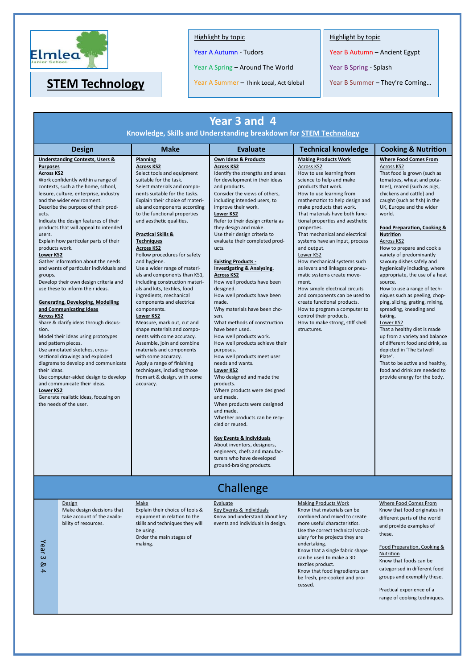

### Highlight by topic

Year A Autumn - Tudors

Year A Spring – Around The World

Year A Summer – Think Local, Act Global **STEM Technology** Year A Summer – Think Local, Act Global Year B Summer – They're Coming...

Highlight by topic

Year B Autumn – Ancient Egypt

Year B Spring - Splash

| Year 3 and 4<br>Knowledge, Skills and Understanding breakdown for STEM Technology                                                                                                                                                                                                                                                                                                                                                                                                                                                                                                                                                                                                                                                                                                                                                                                                                                                                                                                                                                                                                                                  |                                                                                             |                                                                                                                                                                                                                                                                                                                                                                                                                                                                                                                                                                                                                                                                                                                                                                                                                                                                                                                                  |                                                                                                                                                                                                                                                                                                                                                                                                                                                                                                                                                                                                                                                                                                                                                                                                                                                                                                                                                                                                                                                                                                                                                                |                                                                                                                                                                                                                                                                                                                                                                                                                                                                                                                                                                                                                                                                                                                                |                                                                                                                                                                                                                                                                                                                                                                                                                                                                                                                                                                                                                                                                                                                                                                                                                                                                                        |
|------------------------------------------------------------------------------------------------------------------------------------------------------------------------------------------------------------------------------------------------------------------------------------------------------------------------------------------------------------------------------------------------------------------------------------------------------------------------------------------------------------------------------------------------------------------------------------------------------------------------------------------------------------------------------------------------------------------------------------------------------------------------------------------------------------------------------------------------------------------------------------------------------------------------------------------------------------------------------------------------------------------------------------------------------------------------------------------------------------------------------------|---------------------------------------------------------------------------------------------|----------------------------------------------------------------------------------------------------------------------------------------------------------------------------------------------------------------------------------------------------------------------------------------------------------------------------------------------------------------------------------------------------------------------------------------------------------------------------------------------------------------------------------------------------------------------------------------------------------------------------------------------------------------------------------------------------------------------------------------------------------------------------------------------------------------------------------------------------------------------------------------------------------------------------------|----------------------------------------------------------------------------------------------------------------------------------------------------------------------------------------------------------------------------------------------------------------------------------------------------------------------------------------------------------------------------------------------------------------------------------------------------------------------------------------------------------------------------------------------------------------------------------------------------------------------------------------------------------------------------------------------------------------------------------------------------------------------------------------------------------------------------------------------------------------------------------------------------------------------------------------------------------------------------------------------------------------------------------------------------------------------------------------------------------------------------------------------------------------|--------------------------------------------------------------------------------------------------------------------------------------------------------------------------------------------------------------------------------------------------------------------------------------------------------------------------------------------------------------------------------------------------------------------------------------------------------------------------------------------------------------------------------------------------------------------------------------------------------------------------------------------------------------------------------------------------------------------------------|----------------------------------------------------------------------------------------------------------------------------------------------------------------------------------------------------------------------------------------------------------------------------------------------------------------------------------------------------------------------------------------------------------------------------------------------------------------------------------------------------------------------------------------------------------------------------------------------------------------------------------------------------------------------------------------------------------------------------------------------------------------------------------------------------------------------------------------------------------------------------------------|
|                                                                                                                                                                                                                                                                                                                                                                                                                                                                                                                                                                                                                                                                                                                                                                                                                                                                                                                                                                                                                                                                                                                                    | <b>Design</b>                                                                               | <b>Make</b>                                                                                                                                                                                                                                                                                                                                                                                                                                                                                                                                                                                                                                                                                                                                                                                                                                                                                                                      | <b>Evaluate</b>                                                                                                                                                                                                                                                                                                                                                                                                                                                                                                                                                                                                                                                                                                                                                                                                                                                                                                                                                                                                                                                                                                                                                | <b>Technical knowledge</b>                                                                                                                                                                                                                                                                                                                                                                                                                                                                                                                                                                                                                                                                                                     | <b>Cooking &amp; Nutrition</b>                                                                                                                                                                                                                                                                                                                                                                                                                                                                                                                                                                                                                                                                                                                                                                                                                                                         |
| <b>Understanding Contexts, Users &amp;</b><br><b>Purposes</b><br><b>Across KS2</b><br>Work confidently within a range of<br>contexts, such a the home, school,<br>leisure, culture, enterprise, industry<br>and the wider environment.<br>Describe the purpose of their prod-<br>ucts.<br>Indicate the design features of their<br>products that will appeal to intended<br>users.<br>Explain how particular parts of their<br>products work.<br>Lower KS2<br>Gather information about the needs<br>and wants of particular individuals and<br>groups.<br>Develop their own design criteria and<br>use these to inform their ideas.<br><b>Generating, Developing, Modelling</b><br>and Communicating Ideas<br><b>Across KS2</b><br>Share & clarify ideas through discus-<br>sion.<br>Model their ideas using prototypes<br>and pattern pieces.<br>Use annotated sketches, cross-<br>sectional drawings and exploded<br>diagrams to develop and communicate<br>their ideas.<br>Use computer-aided design to develop<br>and communicate their ideas.<br>Lower KS2<br>Generate realistic ideas, focusing on<br>the needs of the user. |                                                                                             | <b>Planning</b><br><b>Across KS2</b><br>Select tools and equipment<br>suitable for the task.<br>Select materials and compo-<br>nents suitable for the tasks.<br>Explain their choice of materi-<br>als and components according<br>to the functional properties<br>and aesthetic qualities.<br><b>Practical Skills &amp;</b><br><b>Techniques</b><br><b>Across KS2</b><br>Follow procedures for safety<br>and hygiene.<br>Use a wider range of materi-<br>als and components than KS1,<br>including construction materi-<br>als and kits, textiles, food<br>ingredients, mechanical<br>components and electrical<br>components.<br>Lower KS2<br>Measure, mark out, cut and<br>shape materials and compo-<br>nents with come accuracy.<br>Assemble, join and combine<br>materials and components<br>with some accuracy.<br>Apply a range of finishing<br>techniques, including those<br>from art & design, with some<br>accuracy. | Own Ideas & Products<br><b>Across KS2</b><br>Identify the strengths and areas<br>for development in their ideas<br>and products.<br>Consider the views of others,<br>including intended users, to<br>improve their work.<br><b>Lower KS2</b><br>Refer to their design criteria as<br>they design and make.<br>Use their design criteria to<br>evaluate their completed prod-<br>ucts.<br><b>Existing Products -</b><br>Investigating & Analysing.<br><b>Across KS2</b><br>How well products have been<br>designed.<br>How well products have been<br>made.<br>Why materials have been cho-<br>sen.<br>What methods of construction<br>have been used.<br>How well products work.<br>How well products achieve their<br>purposes.<br>How well products meet user<br>needs and wants.<br><b>Lower KS2</b><br>Who designed and made the<br>products.<br>Where products were designed<br>and made.<br>When products were designed<br>and made.<br>Whether products can be recy-<br>cled or reused.<br><b>Key Events &amp; Individuals</b><br>About inventors, designers,<br>engineers, chefs and manufac-<br>turers who have developed<br>ground-braking products. | <b>Making Products Work</b><br>Across KS2<br>How to use learning from<br>science to help and make<br>products that work.<br>How to use learning from<br>mathematics to help design and<br>make products that work.<br>That materials have both func-<br>tional properties and aesthetic<br>properties.<br>That mechanical and electrical<br>systems have an input, process<br>and output.<br>Lower KS2<br>How mechanical systems such<br>as levers and linkages or pneu-<br>matic systems create move-<br>ment.<br>How simple electrical circuits<br>and components can be used to<br>create functional products.<br>How to program a computer to<br>control their products.<br>How to make strong, stiff shell<br>structures. | <b>Where Food Comes From</b><br><b>Across KS2</b><br>That food is grown (such as<br>tomatoes, wheat and pota-<br>toes), reared (such as pigs,<br>chickens and cattle) and<br>caught (such as fish) in the<br>UK, Europe and the wider<br>world.<br>Food Preparation, Cooking &<br><b>Nutrition</b><br>Across KS2<br>How to prepare and cook a<br>variety of predominantly<br>savoury dishes safely and<br>hygienically including, where<br>appropriate, the use of a heat<br>source.<br>How to use a range of tech-<br>niques such as peeling, chop-<br>ping, slicing, grating, mixing,<br>spreading, kneading and<br>baking.<br>Lower KS2<br>That a healthy diet is made<br>up from a variety and balance<br>of different food and drink, as<br>depicted in 'The Eatwell<br>Plate'.<br>That to be active and healthy,<br>food and drink are needed to<br>provide energy for the body. |
|                                                                                                                                                                                                                                                                                                                                                                                                                                                                                                                                                                                                                                                                                                                                                                                                                                                                                                                                                                                                                                                                                                                                    |                                                                                             |                                                                                                                                                                                                                                                                                                                                                                                                                                                                                                                                                                                                                                                                                                                                                                                                                                                                                                                                  | Challenge                                                                                                                                                                                                                                                                                                                                                                                                                                                                                                                                                                                                                                                                                                                                                                                                                                                                                                                                                                                                                                                                                                                                                      |                                                                                                                                                                                                                                                                                                                                                                                                                                                                                                                                                                                                                                                                                                                                |                                                                                                                                                                                                                                                                                                                                                                                                                                                                                                                                                                                                                                                                                                                                                                                                                                                                                        |
| Year <sub>3</sub><br>&<br>$\overline{4}$                                                                                                                                                                                                                                                                                                                                                                                                                                                                                                                                                                                                                                                                                                                                                                                                                                                                                                                                                                                                                                                                                           | Design<br>Make design decisions that<br>take account of the availa-<br>bility of resources. | Make<br>Explain their choice of tools &<br>equipment in relation to the<br>skills and techniques they will<br>be using.<br>Order the main stages of<br>making.                                                                                                                                                                                                                                                                                                                                                                                                                                                                                                                                                                                                                                                                                                                                                                   | Evaluate<br>Key Events & Individuals<br>Know and understand about key<br>events and individuals in design.                                                                                                                                                                                                                                                                                                                                                                                                                                                                                                                                                                                                                                                                                                                                                                                                                                                                                                                                                                                                                                                     | <b>Making Products Work</b><br>Know that materials can be<br>combined and mixed to create<br>more useful characteristics.<br>Use the correct technical vocab-<br>ulary for he projects they are<br>undertaking.<br>Know that a single fabric shape<br>can be used to make a 3D<br>textiles product.<br>Know that food ingredients can<br>be fresh, pre-cooked and pro-<br>cessed.                                                                                                                                                                                                                                                                                                                                              | Where Food Comes From<br>Know that food originates in<br>different parts of the world<br>and provide examples of<br>these.<br>Food Preparation, Cooking &<br><b>Nutrition</b><br>Know that foods can be<br>categorised in different food<br>groups and exemplify these.<br>Practical experience of a<br>range of cooking techniques.                                                                                                                                                                                                                                                                                                                                                                                                                                                                                                                                                   |
|                                                                                                                                                                                                                                                                                                                                                                                                                                                                                                                                                                                                                                                                                                                                                                                                                                                                                                                                                                                                                                                                                                                                    |                                                                                             |                                                                                                                                                                                                                                                                                                                                                                                                                                                                                                                                                                                                                                                                                                                                                                                                                                                                                                                                  |                                                                                                                                                                                                                                                                                                                                                                                                                                                                                                                                                                                                                                                                                                                                                                                                                                                                                                                                                                                                                                                                                                                                                                |                                                                                                                                                                                                                                                                                                                                                                                                                                                                                                                                                                                                                                                                                                                                |                                                                                                                                                                                                                                                                                                                                                                                                                                                                                                                                                                                                                                                                                                                                                                                                                                                                                        |